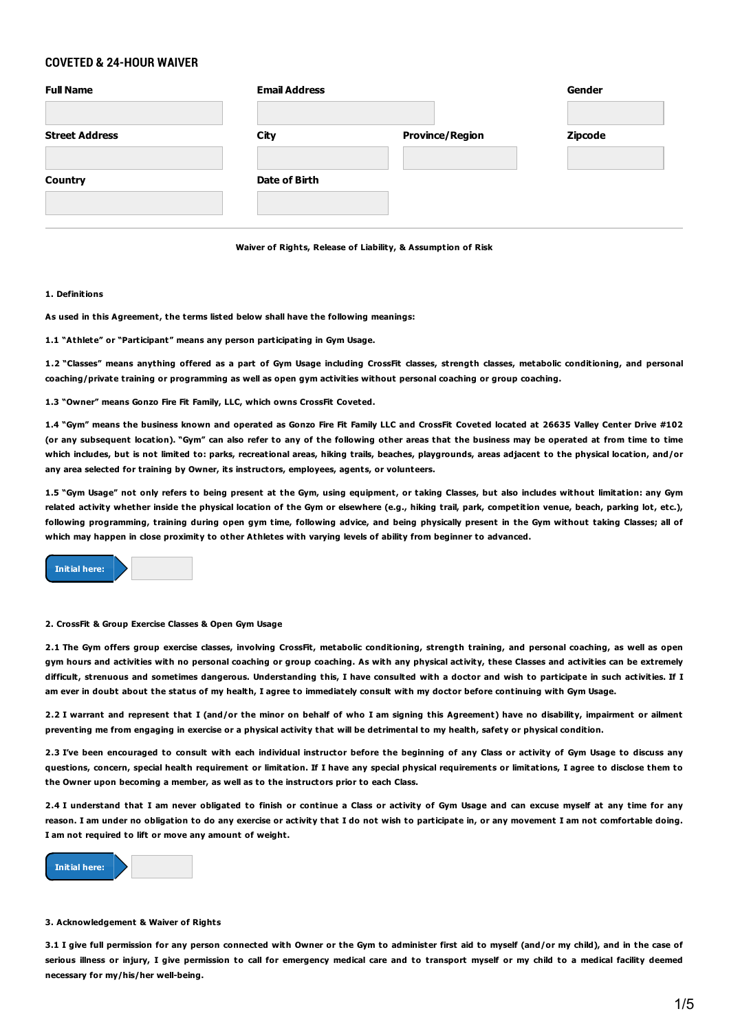# **COVETED & 24-HOUR WAIVER**

| <b>Full Name</b>      | <b>Email Address</b> |                        | Gender         |
|-----------------------|----------------------|------------------------|----------------|
| <b>Street Address</b> | City                 | <b>Province/Region</b> | <b>Zipcode</b> |
| <b>Country</b>        | Date of Birth        |                        |                |
|                       |                      |                        |                |

**Waiver of Rights, Release of Liability, & Assumption of Risk**

# **1. Definitions**

**As used in this Agreement, the terms listed below shall have the following meanings:**

**1.1 "Athlete" or "Participant" means any person participating in Gym Usage.**

1.2 "Classes" means anything offered as a part of Gym Usage including CrossFit classes, strength classes, metabolic conditioning, and personal coaching/private training or programming as well as open gym activities without personal coaching or group coaching.

**1.3 "Owner" means Gonzo Fire Fit Family, LLC, which owns CrossFit Coveted.**

1.4 "Gym" means the business known and operated as Gonzo Fire Fit Family LLC and CrossFit Coveted located at 26635 Valley Center Drive #102 (or any subsequent location), "Gym" can also refer to any of the following other areas that the business may be operated at from time to time which includes, but is not limited to: parks, recreational areas, hiking trails, beaches, playgrounds, areas adjacent to the physical location, and/or **any area selected for training by Owner, its instructors, employees, agents, or volunteers.**

1.5 "Gym Usage" not only refers to being present at the Gym, using equipment, or taking Classes, but also includes without limitation: any Gym related activity whether inside the physical location of the Gym or elsewhere (e.g., hiking trail, park, competition venue, beach, parking lot, etc.), following programming, training during open gym time, following advice, and being physically present in the Gym without taking Classes; all of which may happen in close proximity to other Athletes with varying levels of ability from beginner to advanced.



#### **2. CrossFit & Group Exercise Classes & Open Gym Usage**

2.1 The Gym offers group exercise classes, involving CrossFit, metabolic conditioning, strength training, and personal coaching, as well as open gym hours and activities with no personal coaching or group coaching. As with any physical activity, these Classes and activities can be extremely difficult, strenuous and sometimes dangerous. Understanding this, I have consulted with a doctor and wish to participate in such activities. If I am ever in doubt about the status of my health, I agree to immediately consult with my doctor before continuing with Gym Usage.

2.2 I warrant and represent that I (and/or the minor on behalf of who I am signing this Agreement) have no disability, impairment or ailment preventing me from engaging in exercise or a physical activity that will be detrimental to my health, safety or physical condition.

2.3 I've been encouraged to consult with each individual instructor before the beginning of any Class or activity of Gym Usage to discuss any questions, concern, special health requirement or limitation. If I have any special physical requirements or limitations, I agree to disclose them to **the Owner upon becoming a member, as well as to the instructors prior to each Class.**

2.4 I understand that I am never obligated to finish or continue a Class or activity of Gym Usage and can excuse myself at any time for any reason. I am under no obligation to do any exercise or activity that I do not wish to participate in, or any movement I am not comfortable doing. **I am not required to lift or move any amount of weight.**



#### **3. Acknowledgement & Waiver of Rights**

3.1 I give full permission for any person connected with Owner or the Gym to administer first aid to myself (and/or my child), and in the case of serious illness or injury. I give permission to call for emergency medical care and to transport myself or my child to a medical facility deemed **necessary for my/his/her well-being.**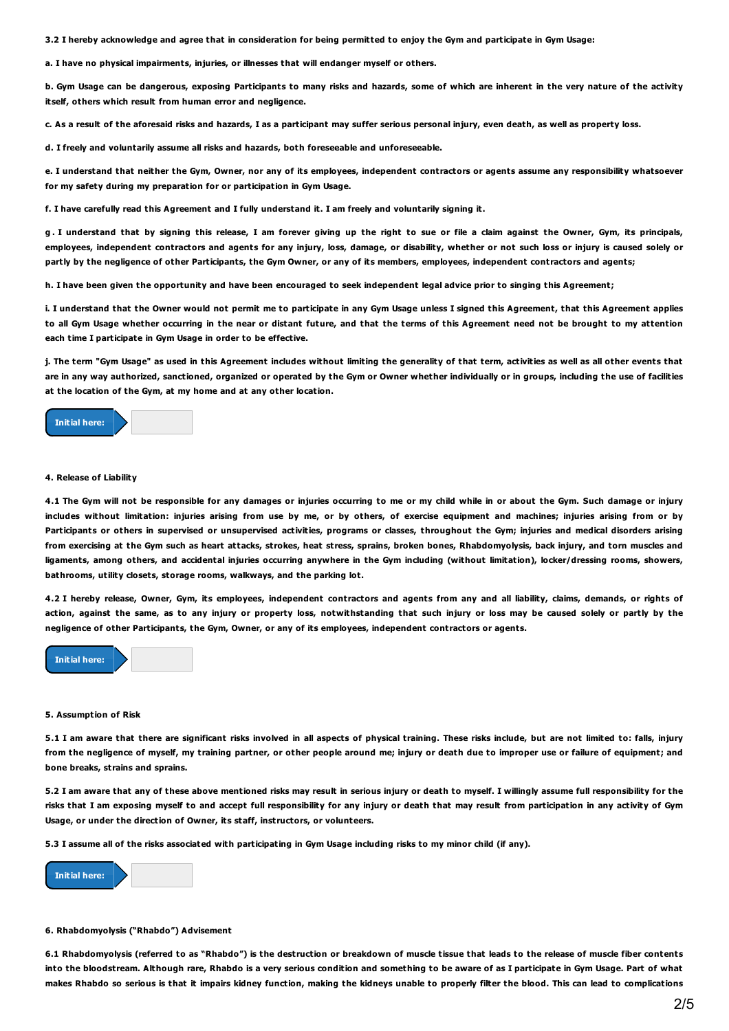3.2 I hereby acknowledge and agree that in consideration for being permitted to enjoy the Gym and participate in Gym Usage:

**a. I have no physical impairments, injuries, or illnesses that will endanger myself or others.**

b. Gym Usage can be dangerous, exposing Participants to many risks and hazards, some of which are inherent in the very nature of the activity **itself, others which result from human error and negligence.**

c. As a result of the aforesaid risks and hazards. I as a participant may suffer serious personal injury, even death, as well as property loss.

**d. I freely and voluntarily assume all risks and hazards, both foreseeable and unforeseeable.**

e. I understand that neither the Gym, Owner, nor any of its employees, independent contractors or agents assume any responsibility whatsoever **for my safety during my preparation for or participation in Gym Usage.**

f. I have carefully read this Agreement and I fully understand it. I am freely and voluntarily signing it.

g. I understand that by signing this release, I am forever giving up the right to sue or file a claim against the Owner, Gym, its principals, employees, independent contractors and agents for any injury, loss, damage, or disability, whether or not such loss or injury is caused solely or partly by the negligence of other Participants, the Gym Owner, or any of its members, employees, independent contractors and agents;

h. I have been given the opportunity and have been encouraged to seek independent legal advice prior to singing this Agreement;

i. I understand that the Owner would not permit me to participate in any Gym Usage unless I signed this Agreement, that this Agreement applies to all Gym Usage whether occurring in the near or distant future, and that the terms of this Agreement need not be brought to my attention **each time I participate in Gym Usage in order to be effective.**

j. The term "Gym Usage" as used in this Agreement includes without limiting the generality of that term, activities as well as all other events that are in any way authorized, sanctioned, organized or operated by the Gym or Owner whether individually or in groups, including the use of facilities **at the location of the Gym, at my home and at any other location.**



### **4. Release of Liability**

4.1 The Gym will not be responsible for any damages or injuries occurring to me or my child while in or about the Gym. Such damage or injury includes without limitation: injuries arising from use by me, or by others, of exercise equipment and machines; injuries arising from or by Participants or others in supervised or unsupervised activities, programs or classes, throughout the Gym; injuries and medical disorders arising from exercising at the Gym such as heart attacks, strokes, heat stress, sprains, broken bones, Rhabdomyolysis, back injury, and torn muscles and ligaments, among others, and accidental injuries occurring anywhere in the Gym including (without limitation), locker/dressing rooms, showers, **bathrooms, utility closets, storage rooms, walkways, and the parking lot.**

4.2 I hereby release, Owner, Gym, its employees, independent contractors and agents from any and all liability, claims, demands, or rights of action, against the same, as to any injury or property loss, notwithstanding that such injury or loss may be caused solely or partly by the **negligence of other Participants, the Gym, Owner, or any of its employees, independent contractors or agents.**



#### **5. Assumption of Risk**

5.1 I am aware that there are significant risks involved in all aspects of physical training. These risks include, but are not limited to: falls, injury from the negligence of myself, my training partner, or other people around me; injury or death due to improper use or failure of equipment; and **bone breaks, strains and sprains.**

5.2 I am aware that any of these above mentioned risks may result in serious injury or death to myself. I willingly assume full responsibility for the risks that I am exposing myself to and accept full responsibility for any injury or death that may result from participation in any activity of Gym **Usage, or under the direction of Owner, its staff, instructors, or volunteers.**

5.3 I assume all of the risks associated with participating in Gym Usage including risks to my minor child (if any).



# **6. Rhabdomyolysis ("Rhabdo") Advisement**

6.1 Rhabdomyolysis (referred to as "Rhabdo") is the destruction or breakdown of muscle tissue that leads to the release of muscle fiber contents into the bloodstream. Although rare, Rhabdo is a very serious condition and something to be aware of as I participate in Gym Usage. Part of what makes Rhabdo so serious is that it impairs kidney function, making the kidneys unable to properly filter the blood. This can lead to complications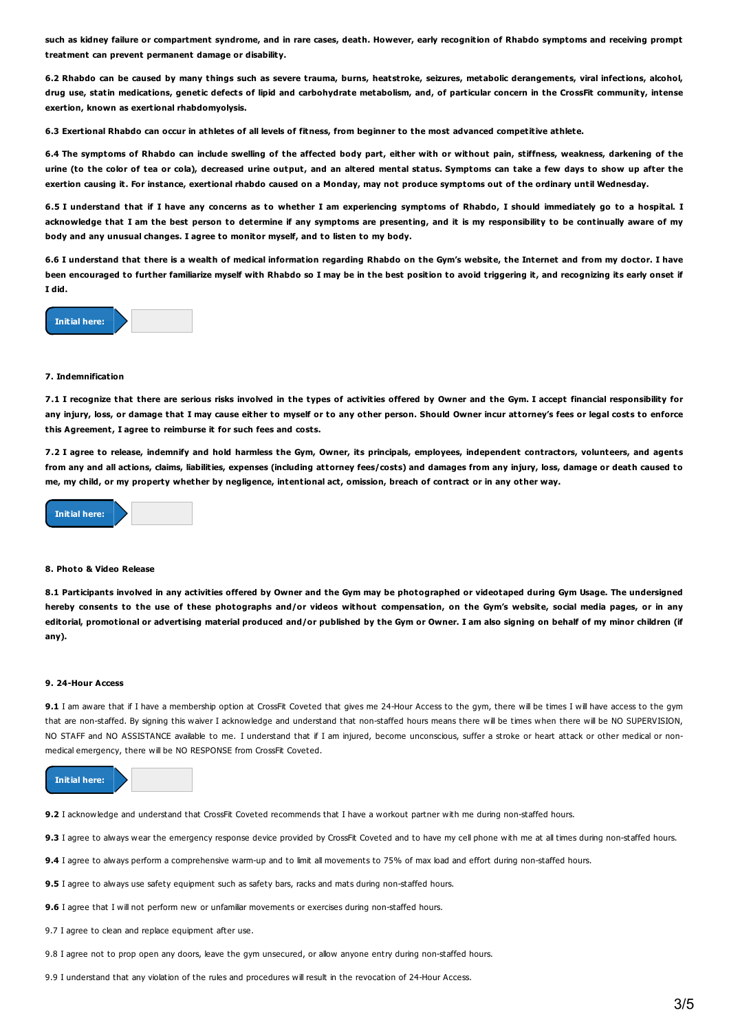such as kidney failure or compartment syndrome, and in rare cases, death. However, early recognition of Rhabdo symptoms and receiving prompt **treatment can prevent permanent damage or disability.**

6.2 Rhabdo can be caused by many things such as severe trauma, burns, heatstroke, seizures, metabolic derangements, viral infections, alcohol, drug use, statin medications, genetic defects of lipid and carbohydrate metabolism, and, of particular concern in the CrossFit community, intense **exertion, known as exertional rhabdomyolysis.**

6.3 Exertional Rhabdo can occur in athletes of all levels of fitness, from beginner to the most advanced competitive athlete.

6.4 The symptoms of Rhabdo can include swelling of the affected body part, either with or without pain, stiffness, weakness, darkening of the urine (to the color of tea or cola), decreased urine output, and an altered mental status. Symptoms can take a few days to show up after the exertion causing it. For instance, exertional rhabdo caused on a Monday, may not produce symptoms out of the ordinary until Wednesday.

6.5 I understand that if I have any concerns as to whether I am experiencing symptoms of Rhabdo, I should immediately go to a hospital. I acknowledge that I am the best person to determine if any symptoms are presenting, and it is my responsibility to be continually aware of my **body and any unusual changes. I agree to monitor myself, and to listen to my body.**

6.6 I understand that there is a wealth of medical information regarding Rhabdo on the Gym's website, the Internet and from my doctor. I have been encouraged to further familiarize myself with Rhabdo so I may be in the best position to avoid triggering it, and recognizing its early onset if **I did.**



# **7. Indemnification**

7.1 I recognize that there are serious risks involved in the types of activities offered by Owner and the Gym. I accept financial responsibility for any injury, loss, or damage that I may cause either to myself or to any other person. Should Owner incur attorney's fees or legal costs to enforce **this Agreement, I agree to reimburse it for such fees and costs.**

7.2 I agree to release, indemnify and hold harmless the Gym, Owner, its principals, employees, independent contractors, volunteers, and agents from any and all actions, claims, liabilities, expenses (including attorney fees/costs) and damages from any injury, loss, damage or death caused to me, my child, or my property whether by negligence, intentional act, omission, breach of contract or in any other way.



### **8. Photo & Video Release**

8.1 Participants involved in any activities offered by Owner and the Gym may be photographed or videotaped during Gym Usage. The undersigned hereby consents to the use of these photographs and/or videos without compensation, on the Gym's website, social media pages, or in any editorial, promotional or advertising material produced and/or published by the Gym or Owner. I am also signing on behalf of my minor children (if **any).**

#### **9. 24-Hour Access**

9.1 I am aware that if I have a membership option at CrossFit Coveted that gives me 24-Hour Access to the gym, there will be times I will have access to the gym that are non-staffed. By signing this waiver I acknowledge and understand that non-staffed hours means there will be times when there will be NO SUPERVISION, NO STAFF and NO ASSISTANCE available to me. I understand that if I am injured, become unconscious, suffer a stroke or heart attack or other medical or nonmedical emergency, there will be NO RESPONSE from CrossFit Coveted.

**Initial here:**

**9.2** I acknowledge and understand that CrossFit Coveted recommends that I have a workout partner with me during non-staffed hours.

9.3 I agree to always wear the emergency response device provided by CrossFit Coveted and to have my cell phone with me at all times during non-staffed hours.

**9.4** I agree to always perform a comprehensive warm-up and to limit all movements to 75% of max load and effort during non-staffed hours.

**9.5** Lagree to always use safety equipment such as safety bars, racks and mats during non-staffed hours.

**9.6** I agree that I will not perform new or unfamiliar movements or exercises during non-staffed hours.

9.7 I agree to clean and replace equipment after use.

9.8 I agree not to prop open any doors, leave the gym unsecured, or allow anyone entry during non-staffed hours.

9.9 I understand that any violation of the rules and procedures will result in the revocation of 24-Hour Access.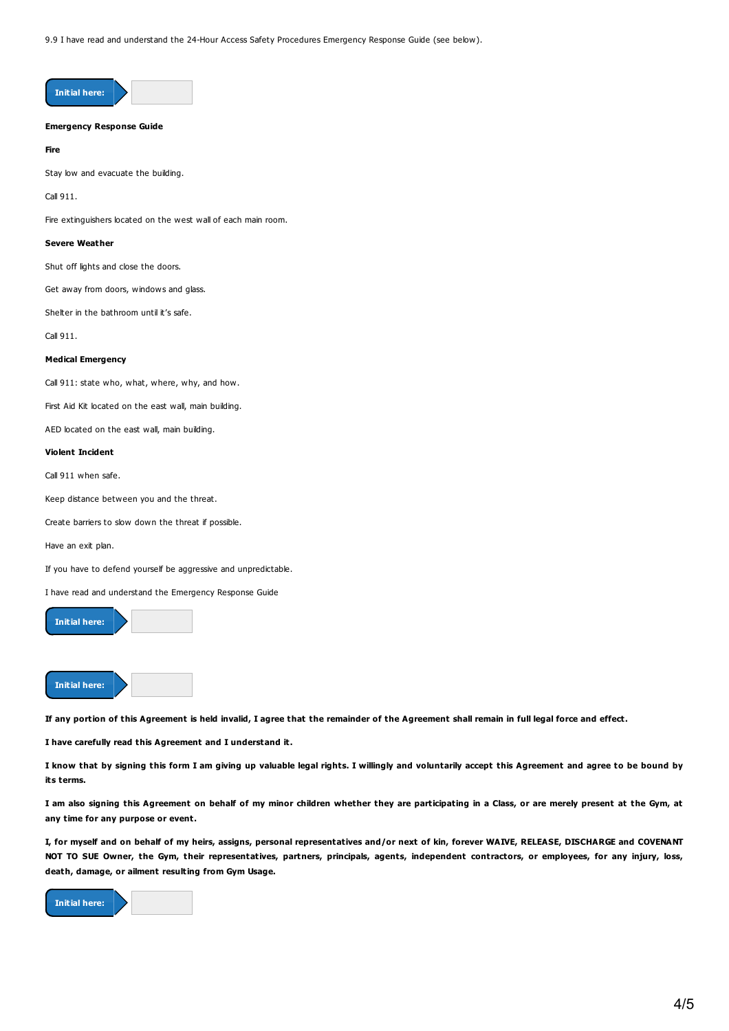9.9 I have read and understand the 24-Hour Access Safety Procedures Emergency Response Guide (see below).



# **Emergency Response Guide**

**Fire**

Stay low and evacuate the building.

Call 911.

Fire extinguishers located on the west wall of each main room.

#### **Severe Weather**

Shut off lights and close the doors.

Get away from doors, windows and glass.

Shelter in the bathroom until it's safe.

Call 911.

#### **Medical Emergency**

Call 911: state who, what, where, why, and how.

First Aid Kit located on the east wall, main building.

AED located on the east wall, main building.

# **Violent Incident**

Call 911 when safe.

Keep distance between you and the threat.

Create barriers to slow down the threat if possible.

Have an exit plan.

If you have to defend yourself be aggressive and unpredictable.

I have read and understand the Emergency Response Guide



**Initial here:**

If any portion of this Agreement is held invalid, I agree that the remainder of the Agreement shall remain in full legal force and effect.

**I have carefully read this Agreement and I understand it.**

I know that by signing this form I am giving up valuable legal rights. I willingly and voluntarily accept this Agreement and agree to be bound by **its terms.**

I am also signing this Agreement on behalf of my minor children whether they are participating in a Class, or are merely present at the Gym, at **any time for any purpose or event.**

I, for myself and on behalf of my heirs, assigns, personal representatives and/or next of kin, forever WAIVE, RELEASE, DISCHARGE and COVENANT NOT TO SUE Owner, the Gym, their representatives, partners, principals, agents, independent contractors, or employees, for any injury, loss, **death, damage, or ailment resulting from Gym Usage.**